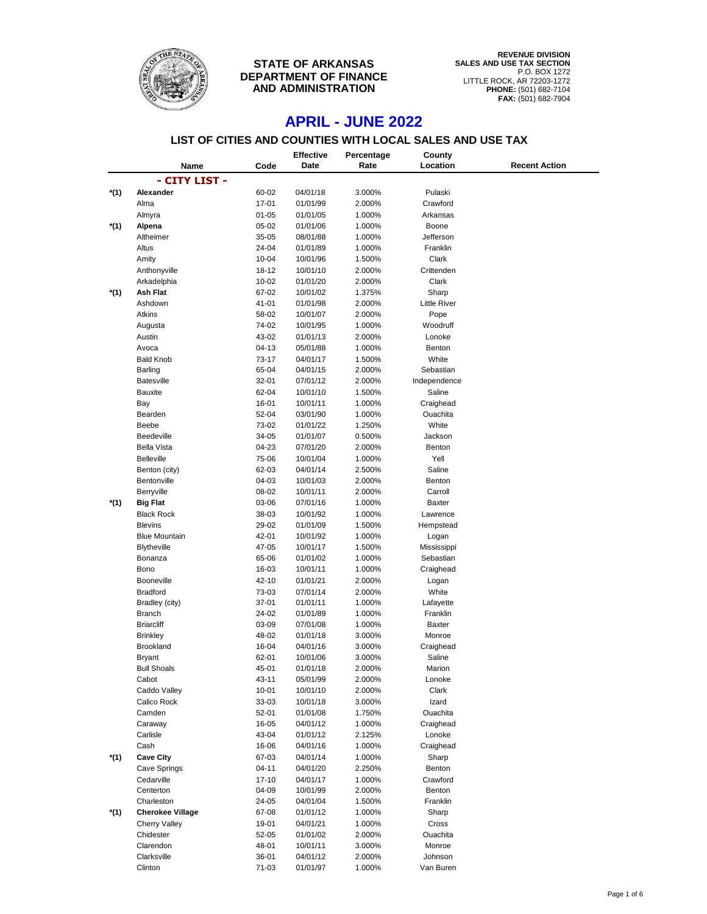

## **STATE OF ARKANSAS DEPARTMENT OF FINANCE AND ADMINISTRATION**

**REVENUE DIVISION SALES AND USE TAX SECTION** P.O. BOX 1272 LITTLE ROCK, AR 72203-1272 **PHONE:** (501) 682-7104 **FAX:** (501) 682-7904

## **APRIL - JUNE 2022**

## **LIST OF CITIES AND COUNTIES WITH LOCAL SALES AND USE TAX**

|      |                               |                | <b>Effective</b>     | Percentage       | County              |                      |
|------|-------------------------------|----------------|----------------------|------------------|---------------------|----------------------|
|      | Name                          | Code           | Date                 | Rate             | Location            | <b>Recent Action</b> |
|      | - CITY LIST -                 |                |                      |                  |                     |                      |
| *(1) | Alexander                     | 60-02          | 04/01/18             | 3.000%           | Pulaski             |                      |
|      | Alma                          | 17-01          | 01/01/99             | 2.000%           | Crawford            |                      |
|      | Almyra                        | $01 - 05$      | 01/01/05             | 1.000%           | Arkansas            |                      |
| *(1) | Alpena                        | 05-02          | 01/01/06             | 1.000%           | Boone               |                      |
|      | Altheimer                     | 35-05          | 08/01/88             | 1.000%           | Jefferson           |                      |
|      | Altus                         | 24-04          | 01/01/89             | 1.000%           | Franklin            |                      |
|      | Amity                         | $10 - 04$      | 10/01/96             | 1.500%           | Clark               |                      |
|      | Anthonyville                  | 18-12          | 10/01/10             | 2.000%           | Crittenden          |                      |
|      | Arkadelphia                   | $10 - 02$      | 01/01/20             | 2.000%           | Clark               |                      |
| *(1) | <b>Ash Flat</b>               | 67-02          | 10/01/02             | 1.375%           | Sharp               |                      |
|      | Ashdown                       | 41-01          | 01/01/98             | 2.000%           | <b>Little River</b> |                      |
|      | Atkins                        | 58-02          | 10/01/07             | 2.000%           | Pope                |                      |
|      | Augusta                       | 74-02          | 10/01/95             | 1.000%           | Woodruff            |                      |
|      | Austin                        | 43-02          | 01/01/13             | 2.000%           | Lonoke              |                      |
|      | Avoca                         | $04-13$        | 05/01/88             | 1.000%           | Benton              |                      |
|      | <b>Bald Knob</b>              | 73-17          | 04/01/17             | 1.500%           | White               |                      |
|      | Barling                       | 65-04          | 04/01/15             | 2.000%           | Sebastian           |                      |
|      | <b>Batesville</b>             | 32-01          | 07/01/12             | 2.000%           | Independence        |                      |
|      | <b>Bauxite</b>                | 62-04          | 10/01/10             | 1.500%           | Saline              |                      |
|      | Bay                           | 16-01          | 10/01/11             | 1.000%           | Craighead           |                      |
|      | Bearden                       | 52-04          | 03/01/90             | 1.000%           | Ouachita            |                      |
|      | <b>Beebe</b>                  | 73-02          | 01/01/22             | 1.250%           | White               |                      |
|      | Beedeville                    | 34-05          | 01/01/07             | 0.500%           | Jackson             |                      |
|      | <b>Bella Vista</b>            | 04-23          | 07/01/20             | 2.000%           | Benton              |                      |
|      | <b>Belleville</b>             | 75-06          | 10/01/04             | 1.000%           | Yell                |                      |
|      | Benton (city)                 | 62-03          | 04/01/14             | 2.500%           | Saline              |                      |
|      | Bentonville                   | 04-03          | 10/01/03             | 2.000%           | Benton              |                      |
|      | Berryville                    | 08-02          | 10/01/11             | 2.000%           | Carroll             |                      |
| *(1) | <b>Big Flat</b>               | 03-06          | 07/01/16             | 1.000%           | <b>Baxter</b>       |                      |
|      | <b>Black Rock</b>             | 38-03          | 10/01/92             | 1.000%           | Lawrence            |                      |
|      | <b>Blevins</b>                | 29-02          | 01/01/09             | 1.500%           | Hempstead           |                      |
|      | <b>Blue Mountain</b>          | 42-01          | 10/01/92             | 1.000%           | Logan               |                      |
|      | <b>Blytheville</b>            | 47-05          | 10/01/17             | 1.500%           | Mississippi         |                      |
|      | Bonanza<br>Bono               | 65-06<br>16-03 | 01/01/02             | 1.000%           | Sebastian           |                      |
|      |                               |                | 10/01/11             | 1.000%           | Craighead           |                      |
|      | Booneville<br><b>Bradford</b> | 42-10<br>73-03 | 01/01/21<br>07/01/14 | 2.000%<br>2.000% | Logan<br>White      |                      |
|      | Bradley (city)                | 37-01          | 01/01/11             | 1.000%           | Lafayette           |                      |
|      | <b>Branch</b>                 | 24-02          | 01/01/89             | 1.000%           | Franklin            |                      |
|      | <b>Briarcliff</b>             | 03-09          | 07/01/08             | 1.000%           | Baxter              |                      |
|      | <b>Brinkley</b>               | 48-02          | 01/01/18             | 3.000%           | Monroe              |                      |
|      | <b>Brookland</b>              | 16-04          | 04/01/16             | 3.000%           | Craighead           |                      |
|      | <b>Bryant</b>                 | 62-01          | 10/01/06             | 3.000%           | Saline              |                      |
|      | <b>Bull Shoals</b>            | 45-01          | 01/01/18             | 2.000%           | Marion              |                      |
|      | Cabot                         | 43-11          | 05/01/99             | 2.000%           | Lonoke              |                      |
|      | Caddo Valley                  | $10 - 01$      | 10/01/10             | 2.000%           | Clark               |                      |
|      | Calico Rock                   | 33-03          | 10/01/18             | 3.000%           | Izard               |                      |
|      | Camden                        | 52-01          | 01/01/08             | 1.750%           | Ouachita            |                      |
|      | Caraway                       | 16-05          | 04/01/12             | 1.000%           | Craighead           |                      |
|      | Carlisle                      | 43-04          | 01/01/12             | 2.125%           | Lonoke              |                      |
|      | Cash                          | 16-06          | 04/01/16             | 1.000%           | Craighead           |                      |
| *(1) | <b>Cave City</b>              | 67-03          | 04/01/14             | 1.000%           | Sharp               |                      |
|      | Cave Springs                  | 04-11          | 04/01/20             | 2.250%           | Benton              |                      |
|      | Cedarville                    | $17 - 10$      | 04/01/17             | 1.000%           | Crawford            |                      |
|      | Centerton                     | 04-09          | 10/01/99             | 2.000%           | Benton              |                      |
|      | Charleston                    | 24-05          | 04/01/04             | 1.500%           | Franklin            |                      |
| *(1) | <b>Cherokee Village</b>       | 67-08          | 01/01/12             | 1.000%           | Sharp               |                      |
|      | <b>Cherry Valley</b>          | 19-01          | 04/01/21             | 1.000%           | Cross               |                      |
|      | Chidester                     | 52-05          | 01/01/02             | 2.000%           | Ouachita            |                      |
|      | Clarendon                     | 48-01          | 10/01/11             | 3.000%           | Monroe              |                      |
|      | Clarksville                   | 36-01          | 04/01/12             | 2.000%           | Johnson             |                      |
|      | Clinton                       | 71-03          | 01/01/97             | 1.000%           | Van Buren           |                      |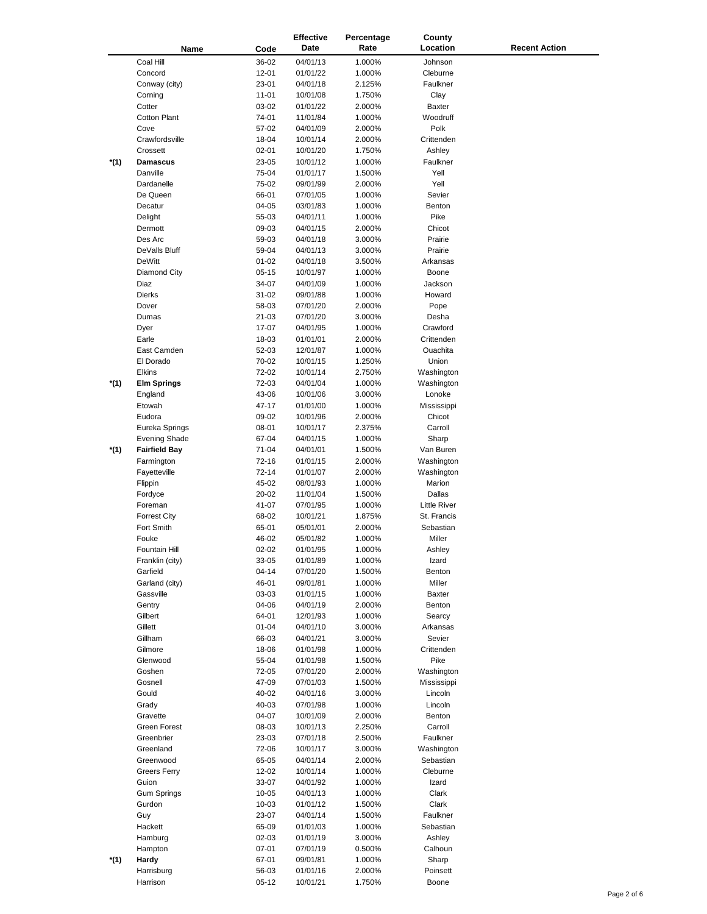|      |                      |           | <b>Effective</b> | Percentage | County              |                      |
|------|----------------------|-----------|------------------|------------|---------------------|----------------------|
|      | Name                 | Code      | Date             | Rate       | Location            | <b>Recent Action</b> |
|      | Coal Hill            | 36-02     | 04/01/13         | 1.000%     | Johnson             |                      |
|      |                      |           |                  |            |                     |                      |
|      | Concord              | $12 - 01$ | 01/01/22         | 1.000%     | Cleburne            |                      |
|      | Conway (city)        | 23-01     | 04/01/18         | 2.125%     | Faulkner            |                      |
|      | Corning              | $11 - 01$ | 10/01/08         | 1.750%     | Clay                |                      |
|      | Cotter               | 03-02     | 01/01/22         | 2.000%     | <b>Baxter</b>       |                      |
|      | <b>Cotton Plant</b>  | 74-01     | 11/01/84         | 1.000%     | Woodruff            |                      |
|      | Cove                 | 57-02     |                  |            | Polk                |                      |
|      |                      |           | 04/01/09         | 2.000%     |                     |                      |
|      | Crawfordsville       | 18-04     | 10/01/14         | 2.000%     | Crittenden          |                      |
|      | Crossett             | $02 - 01$ | 10/01/20         | 1.750%     | Ashley              |                      |
| *(1) | <b>Damascus</b>      | 23-05     | 10/01/12         | 1.000%     | Faulkner            |                      |
|      | Danville             | 75-04     |                  |            | Yell                |                      |
|      |                      |           | 01/01/17         | 1.500%     |                     |                      |
|      | Dardanelle           | 75-02     | 09/01/99         | 2.000%     | Yell                |                      |
|      | De Queen             | 66-01     | 07/01/05         | 1.000%     | Sevier              |                      |
|      | Decatur              | 04-05     | 03/01/83         | 1.000%     | Benton              |                      |
|      | Delight              | 55-03     | 04/01/11         | 1.000%     | Pike                |                      |
|      | Dermott              | 09-03     | 04/01/15         | 2.000%     | Chicot              |                      |
|      |                      |           |                  |            |                     |                      |
|      | Des Arc              | 59-03     | 04/01/18         | 3.000%     | Prairie             |                      |
|      | DeValls Bluff        | 59-04     | 04/01/13         | 3.000%     | Prairie             |                      |
|      | <b>DeWitt</b>        | $01 - 02$ | 04/01/18         | 3.500%     | Arkansas            |                      |
|      | Diamond City         | $05 - 15$ | 10/01/97         | 1.000%     | Boone               |                      |
|      |                      |           |                  |            |                     |                      |
|      | Diaz                 | 34-07     | 04/01/09         | 1.000%     | Jackson             |                      |
|      | <b>Dierks</b>        | 31-02     | 09/01/88         | 1.000%     | Howard              |                      |
|      | Dover                | 58-03     | 07/01/20         | 2.000%     | Pope                |                      |
|      | Dumas                | 21-03     | 07/01/20         | 3.000%     | Desha               |                      |
|      | Dyer                 | 17-07     | 04/01/95         | 1.000%     | Crawford            |                      |
|      |                      |           |                  |            |                     |                      |
|      | Earle                | 18-03     | 01/01/01         | 2.000%     | Crittenden          |                      |
|      | East Camden          | 52-03     | 12/01/87         | 1.000%     | Ouachita            |                      |
|      | El Dorado            | 70-02     | 10/01/15         | 1.250%     | Union               |                      |
|      | Elkins               | 72-02     | 10/01/14         | 2.750%     | Washington          |                      |
|      |                      | 72-03     |                  |            |                     |                      |
| *(1) | <b>Elm Springs</b>   |           | 04/01/04         | 1.000%     | Washington          |                      |
|      | England              | 43-06     | 10/01/06         | 3.000%     | Lonoke              |                      |
|      | Etowah               | 47-17     | 01/01/00         | 1.000%     | Mississippi         |                      |
|      | Eudora               | 09-02     | 10/01/96         | 2.000%     | Chicot              |                      |
|      | Eureka Springs       | 08-01     | 10/01/17         | 2.375%     | Carroll             |                      |
|      |                      | 67-04     |                  |            |                     |                      |
|      | <b>Evening Shade</b> |           | 04/01/15         | 1.000%     | Sharp               |                      |
| *(1) | <b>Fairfield Bay</b> | 71-04     | 04/01/01         | 1.500%     | Van Buren           |                      |
|      | Farmington           | 72-16     | 01/01/15         | 2.000%     | Washington          |                      |
|      | Fayetteville         | $72 - 14$ | 01/01/07         | 2.000%     | Washington          |                      |
|      | Flippin              | 45-02     | 08/01/93         | 1.000%     | Marion              |                      |
|      |                      | 20-02     |                  |            | Dallas              |                      |
|      | Fordyce              |           | 11/01/04         | 1.500%     |                     |                      |
|      | Foreman              | 41-07     | 07/01/95         | 1.000%     | <b>Little River</b> |                      |
|      | <b>Forrest City</b>  | 68-02     | 10/01/21         | 1.875%     | St. Francis         |                      |
|      | Fort Smith           | 65-01     | 05/01/01         | 2.000%     | Sebastian           |                      |
|      | Fouke                | 46-02     | 05/01/82         | 1.000%     | Miller              |                      |
|      |                      |           |                  |            |                     |                      |
|      | Fountain Hill        | 02-02     | 01/01/95         | 1.000%     | Ashley              |                      |
|      | Franklin (city)      | 33-05     | 01/01/89         | 1.000%     | Izard               |                      |
|      | Garfield             | $04 - 14$ | 07/01/20         | 1.500%     | Benton              |                      |
|      | Garland (city)       | 46-01     | 09/01/81         | 1.000%     | Miller              |                      |
|      |                      |           |                  |            |                     |                      |
|      | Gassville            | 03-03     | 01/01/15         | 1.000%     | <b>Baxter</b>       |                      |
|      | Gentry               | 04-06     | 04/01/19         | 2.000%     | Benton              |                      |
|      | Gilbert              | 64-01     | 12/01/93         | 1.000%     | Searcy              |                      |
|      | Gillett              | $01 - 04$ | 04/01/10         | 3.000%     | Arkansas            |                      |
|      | Gillham              | 66-03     | 04/01/21         | 3.000%     | Sevier              |                      |
|      |                      |           |                  |            |                     |                      |
|      | Gilmore              | 18-06     | 01/01/98         | 1.000%     | Crittenden          |                      |
|      | Glenwood             | 55-04     | 01/01/98         | 1.500%     | Pike                |                      |
|      | Goshen               | 72-05     | 07/01/20         | 2.000%     | Washington          |                      |
|      | Gosnell              | 47-09     | 07/01/03         | 1.500%     | Mississippi         |                      |
|      | Gould                | 40-02     | 04/01/16         | 3.000%     | Lincoln             |                      |
|      |                      |           |                  |            |                     |                      |
|      | Grady                | 40-03     | 07/01/98         | 1.000%     | Lincoln             |                      |
|      | Gravette             | 04-07     | 10/01/09         | 2.000%     | Benton              |                      |
|      | <b>Green Forest</b>  | 08-03     | 10/01/13         | 2.250%     | Carroll             |                      |
|      | Greenbrier           | 23-03     | 07/01/18         | 2.500%     | Faulkner            |                      |
|      |                      |           |                  |            |                     |                      |
|      | Greenland            | 72-06     | 10/01/17         | 3.000%     | Washington          |                      |
|      | Greenwood            | 65-05     | 04/01/14         | 2.000%     | Sebastian           |                      |
|      | <b>Greers Ferry</b>  | 12-02     | 10/01/14         | 1.000%     | Cleburne            |                      |
|      | Guion                | 33-07     | 04/01/92         | 1.000%     | Izard               |                      |
|      |                      |           |                  |            |                     |                      |
|      | <b>Gum Springs</b>   | $10 - 05$ | 04/01/13         | 1.000%     | Clark               |                      |
|      | Gurdon               | 10-03     | 01/01/12         | 1.500%     | Clark               |                      |
|      | Guy                  | 23-07     | 04/01/14         | 1.500%     | Faulkner            |                      |
|      | Hackett              | 65-09     | 01/01/03         | 1.000%     | Sebastian           |                      |
|      |                      |           |                  |            |                     |                      |
|      | Hamburg              | 02-03     | 01/01/19         | 3.000%     | Ashley              |                      |
|      | Hampton              | 07-01     | 07/01/19         | 0.500%     | Calhoun             |                      |
| *(1) | Hardy                | 67-01     | 09/01/81         | 1.000%     | Sharp               |                      |
|      | Harrisburg           | 56-03     | 01/01/16         | 2.000%     | Poinsett            |                      |
|      |                      |           |                  |            |                     |                      |
|      | Harrison             | 05-12     | 10/01/21         | 1.750%     | Boone               |                      |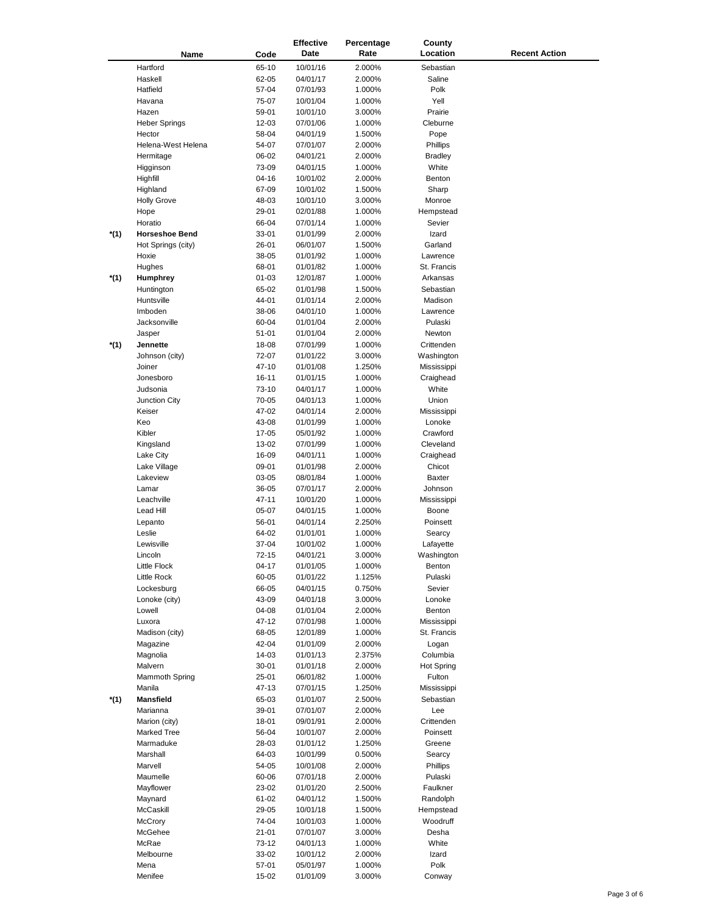|      |                       |           | <b>Effective</b> | Percentage | County        |                      |
|------|-----------------------|-----------|------------------|------------|---------------|----------------------|
|      | Name                  | Code      | Date             | Rate       | Location      | <b>Recent Action</b> |
|      | Hartford              | 65-10     | 10/01/16         | 2.000%     | Sebastian     |                      |
|      | Haskell               | 62-05     | 04/01/17         | 2.000%     | Saline        |                      |
|      |                       |           |                  |            |               |                      |
|      | Hatfield              | 57-04     | 07/01/93         | 1.000%     | Polk          |                      |
|      | Havana                | 75-07     | 10/01/04         | 1.000%     | Yell          |                      |
|      | Hazen                 | 59-01     | 10/01/10         | 3.000%     | Prairie       |                      |
|      | <b>Heber Springs</b>  | $12 - 03$ | 07/01/06         | 1.000%     | Cleburne      |                      |
|      | Hector                | 58-04     | 04/01/19         | 1.500%     | Pope          |                      |
|      | Helena-West Helena    | 54-07     | 07/01/07         | 2.000%     | Phillips      |                      |
|      | Hermitage             | 06-02     | 04/01/21         | 2.000%     | Bradley       |                      |
|      |                       |           |                  |            |               |                      |
|      | Higginson             | 73-09     | 04/01/15         | 1.000%     | White         |                      |
|      | Highfill              | $04 - 16$ | 10/01/02         | 2.000%     | Benton        |                      |
|      | Highland              | 67-09     | 10/01/02         | 1.500%     | Sharp         |                      |
|      | <b>Holly Grove</b>    | 48-03     | 10/01/10         | 3.000%     | Monroe        |                      |
|      | Hope                  | 29-01     | 02/01/88         | 1.000%     | Hempstead     |                      |
|      | Horatio               | 66-04     | 07/01/14         | 1.000%     | Sevier        |                      |
| *(1) | <b>Horseshoe Bend</b> | 33-01     | 01/01/99         | 2.000%     | Izard         |                      |
|      | Hot Springs (city)    | 26-01     | 06/01/07         | 1.500%     | Garland       |                      |
|      |                       |           |                  |            |               |                      |
|      | Hoxie                 | 38-05     | 01/01/92         | 1.000%     | Lawrence      |                      |
|      | Hughes                | 68-01     | 01/01/82         | 1.000%     | St. Francis   |                      |
| *(1) | Humphrey              | $01 - 03$ | 12/01/87         | 1.000%     | Arkansas      |                      |
|      | Huntington            | 65-02     | 01/01/98         | 1.500%     | Sebastian     |                      |
|      | Huntsville            | 44-01     | 01/01/14         | 2.000%     | Madison       |                      |
|      | Imboden               | 38-06     | 04/01/10         | 1.000%     | Lawrence      |                      |
|      | Jacksonville          | 60-04     | 01/01/04         | 2.000%     | Pulaski       |                      |
|      | Jasper                | $51 - 01$ | 01/01/04         | 2.000%     | Newton        |                      |
|      | Jennette              | 18-08     |                  |            | Crittenden    |                      |
| *(1) |                       |           | 07/01/99         | 1.000%     |               |                      |
|      | Johnson (city)        | 72-07     | 01/01/22         | 3.000%     | Washington    |                      |
|      | Joiner                | 47-10     | 01/01/08         | 1.250%     | Mississippi   |                      |
|      | Jonesboro             | 16-11     | 01/01/15         | 1.000%     | Craighead     |                      |
|      | Judsonia              | 73-10     | 04/01/17         | 1.000%     | White         |                      |
|      | Junction City         | 70-05     | 04/01/13         | 1.000%     | Union         |                      |
|      | Keiser                | 47-02     | 04/01/14         | 2.000%     | Mississippi   |                      |
|      | Keo                   | 43-08     | 01/01/99         | 1.000%     | Lonoke        |                      |
|      | Kibler                | 17-05     | 05/01/92         | 1.000%     | Crawford      |                      |
|      |                       | 13-02     |                  |            | Cleveland     |                      |
|      | Kingsland             |           | 07/01/99         | 1.000%     |               |                      |
|      | Lake City             | 16-09     | 04/01/11         | 1.000%     | Craighead     |                      |
|      | Lake Village          | 09-01     | 01/01/98         | 2.000%     | Chicot        |                      |
|      | Lakeview              | 03-05     | 08/01/84         | 1.000%     | <b>Baxter</b> |                      |
|      | Lamar                 | 36-05     | 07/01/17         | 2.000%     | Johnson       |                      |
|      | Leachville            | 47-11     | 10/01/20         | 1.000%     | Mississippi   |                      |
|      | Lead Hill             | 05-07     | 04/01/15         | 1.000%     | Boone         |                      |
|      | Lepanto               | 56-01     | 04/01/14         | 2.250%     | Poinsett      |                      |
|      | Leslie                | 64-02     | 01/01/01         | 1.000%     | Searcy        |                      |
|      | Lewisville            | 37-04     | 10/01/02         | 1.000%     | Lafayette     |                      |
|      |                       |           |                  |            |               |                      |
|      | Lincoln               | 72-15     | 04/01/21         | 3.000%     | Washington    |                      |
|      | <b>Little Flock</b>   | $04 - 17$ | 01/01/05         | 1.000%     | Benton        |                      |
|      | Little Rock           | 60-05     | 01/01/22         | 1.125%     | Pulaski       |                      |
|      | Lockesburg            | 66-05     | 04/01/15         | 0.750%     | Sevier        |                      |
|      | Lonoke (city)         | 43-09     | 04/01/18         | 3.000%     | Lonoke        |                      |
|      | Lowell                | 04-08     | 01/01/04         | 2.000%     | Benton        |                      |
|      | Luxora                | 47-12     | 07/01/98         | 1.000%     | Mississippi   |                      |
|      | Madison (city)        | 68-05     | 12/01/89         | 1.000%     | St. Francis   |                      |
|      | Magazine              | 42-04     |                  | 2.000%     |               |                      |
|      |                       |           | 01/01/09         |            | Logan         |                      |
|      | Magnolia              | 14-03     | 01/01/13         | 2.375%     | Columbia      |                      |
|      | Malvern               | 30-01     | 01/01/18         | 2.000%     | Hot Spring    |                      |
|      | Mammoth Spring        | 25-01     | 06/01/82         | 1.000%     | Fulton        |                      |
|      | Manila                | 47-13     | 07/01/15         | 1.250%     | Mississippi   |                      |
| *(1) | <b>Mansfield</b>      | 65-03     | 01/01/07         | 2.500%     | Sebastian     |                      |
|      | Marianna              | 39-01     | 07/01/07         | 2.000%     | Lee           |                      |
|      | Marion (city)         | 18-01     | 09/01/91         | 2.000%     | Crittenden    |                      |
|      |                       |           |                  |            | Poinsett      |                      |
|      | Marked Tree           | 56-04     | 10/01/07         | 2.000%     |               |                      |
|      | Marmaduke             | 28-03     | 01/01/12         | 1.250%     | Greene        |                      |
|      | Marshall              | 64-03     | 10/01/99         | 0.500%     | Searcy        |                      |
|      | Marvell               | 54-05     | 10/01/08         | 2.000%     | Phillips      |                      |
|      | Maumelle              | 60-06     | 07/01/18         | 2.000%     | Pulaski       |                      |
|      | Mayflower             | 23-02     | 01/01/20         | 2.500%     | Faulkner      |                      |
|      | Maynard               | 61-02     | 04/01/12         | 1.500%     | Randolph      |                      |
|      | McCaskill             | 29-05     | 10/01/18         | 1.500%     | Hempstead     |                      |
|      | McCrory               | 74-04     | 10/01/03         | 1.000%     | Woodruff      |                      |
|      |                       |           |                  |            |               |                      |
|      | McGehee               | $21 - 01$ | 07/01/07         | 3.000%     | Desha         |                      |
|      | McRae                 | 73-12     | 04/01/13         | 1.000%     | White         |                      |
|      | Melbourne             | 33-02     | 10/01/12         | 2.000%     | Izard         |                      |
|      | Mena                  | 57-01     | 05/01/97         | 1.000%     | Polk          |                      |
|      | Menifee               | 15-02     | 01/01/09         | 3.000%     | Conway        |                      |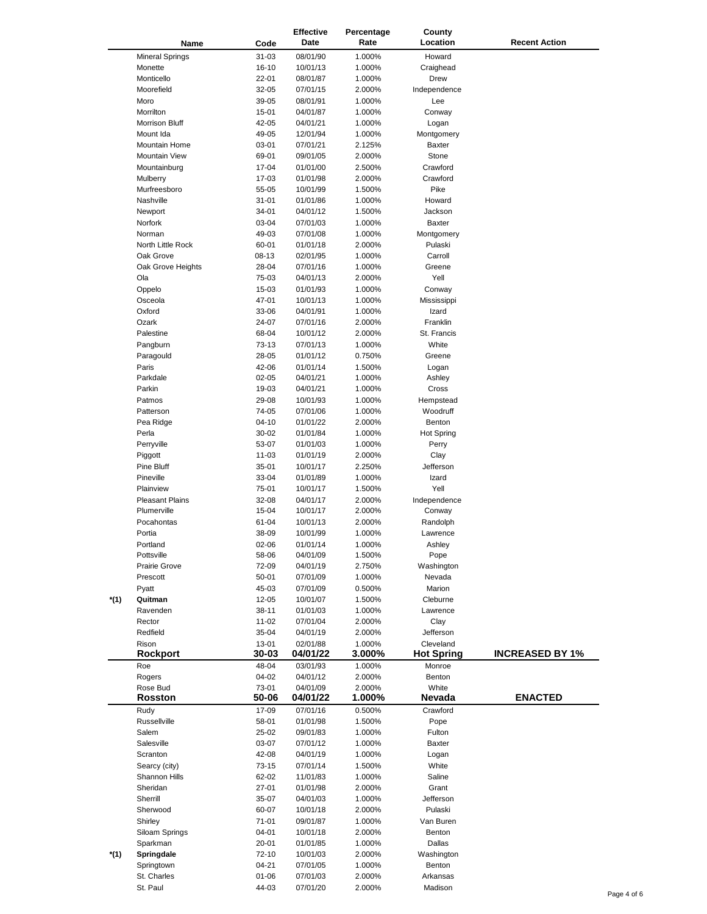|      |                        |           | <b>Effective</b> | Percentage | County            |                        |
|------|------------------------|-----------|------------------|------------|-------------------|------------------------|
|      | Name                   | Code      | Date             | Rate       | Location          | <b>Recent Action</b>   |
|      | <b>Mineral Springs</b> | 31-03     | 08/01/90         | 1.000%     | Howard            |                        |
|      | Monette                | $16 - 10$ | 10/01/13         | 1.000%     | Craighead         |                        |
|      |                        |           |                  |            |                   |                        |
|      | Monticello             | 22-01     | 08/01/87         | 1.000%     | Drew              |                        |
|      | Moorefield             | 32-05     | 07/01/15         | 2.000%     | Independence      |                        |
|      | Moro                   | 39-05     | 08/01/91         | 1.000%     | Lee               |                        |
|      | Morrilton              | 15-01     | 04/01/87         | 1.000%     | Conway            |                        |
|      | <b>Morrison Bluff</b>  | 42-05     | 04/01/21         | 1.000%     | Logan             |                        |
|      | Mount Ida              | 49-05     | 12/01/94         | 1.000%     | Montgomery        |                        |
|      | Mountain Home          | 03-01     | 07/01/21         | 2.125%     | <b>Baxter</b>     |                        |
|      | Mountain View          | 69-01     | 09/01/05         | 2.000%     | Stone             |                        |
|      |                        |           |                  |            |                   |                        |
|      | Mountainburg           | 17-04     | 01/01/00         | 2.500%     | Crawford          |                        |
|      | Mulberry               | 17-03     | 01/01/98         | 2.000%     | Crawford          |                        |
|      | Murfreesboro           | 55-05     | 10/01/99         | 1.500%     | Pike              |                        |
|      | Nashville              | $31 - 01$ | 01/01/86         | 1.000%     | Howard            |                        |
|      | Newport                | 34-01     | 04/01/12         | 1.500%     | Jackson           |                        |
|      | Norfork                | 03-04     | 07/01/03         | 1.000%     | <b>Baxter</b>     |                        |
|      | Norman                 | 49-03     | 07/01/08         | 1.000%     | Montgomery        |                        |
|      | North Little Rock      | 60-01     | 01/01/18         | 2.000%     | Pulaski           |                        |
|      | Oak Grove              | 08-13     | 02/01/95         | 1.000%     | Carroll           |                        |
|      | Oak Grove Heights      | 28-04     | 07/01/16         | 1.000%     | Greene            |                        |
|      |                        |           |                  |            |                   |                        |
|      | Ola                    | 75-03     | 04/01/13         | 2.000%     | Yell              |                        |
|      | Oppelo                 | 15-03     | 01/01/93         | 1.000%     | Conway            |                        |
|      | Osceola                | 47-01     | 10/01/13         | 1.000%     | Mississippi       |                        |
|      | Oxford                 | 33-06     | 04/01/91         | 1.000%     | Izard             |                        |
|      | Ozark                  | 24-07     | 07/01/16         | 2.000%     | Franklin          |                        |
|      | Palestine              | 68-04     | 10/01/12         | 2.000%     | St. Francis       |                        |
|      | Pangburn               | 73-13     | 07/01/13         | 1.000%     | White             |                        |
|      | Paragould              | 28-05     | 01/01/12         | 0.750%     | Greene            |                        |
|      |                        |           |                  |            |                   |                        |
|      | Paris                  | 42-06     | 01/01/14         | 1.500%     | Logan             |                        |
|      | Parkdale               | 02-05     | 04/01/21         | 1.000%     | Ashley            |                        |
|      | Parkin                 | 19-03     | 04/01/21         | 1.000%     | Cross             |                        |
|      | Patmos                 | 29-08     | 10/01/93         | 1.000%     | Hempstead         |                        |
|      | Patterson              | 74-05     | 07/01/06         | 1.000%     | Woodruff          |                        |
|      | Pea Ridge              | 04-10     | 01/01/22         | 2.000%     | Benton            |                        |
|      | Perla                  | 30-02     | 01/01/84         | 1.000%     | <b>Hot Spring</b> |                        |
|      | Perryville             | 53-07     | 01/01/03         | 1.000%     | Perry             |                        |
|      | Piggott                | 11-03     | 01/01/19         | 2.000%     | Clay              |                        |
|      | Pine Bluff             | 35-01     | 10/01/17         | 2.250%     | Jefferson         |                        |
|      | Pineville              | 33-04     | 01/01/89         | 1.000%     | Izard             |                        |
|      |                        |           |                  |            |                   |                        |
|      | Plainview              | 75-01     | 10/01/17         | 1.500%     | Yell              |                        |
|      | <b>Pleasant Plains</b> | 32-08     | 04/01/17         | 2.000%     | Independence      |                        |
|      | Plumerville            | 15-04     | 10/01/17         | 2.000%     | Conway            |                        |
|      | Pocahontas             | 61-04     | 10/01/13         | 2.000%     | Randolph          |                        |
|      | Portia                 | 38-09     | 10/01/99         | 1.000%     | Lawrence          |                        |
|      | Portland               | 02-06     | 01/01/14         | 1.000%     | Ashley            |                        |
|      | Pottsville             | 58-06     | 04/01/09         | 1.500%     | Pope              |                        |
|      | <b>Prairie Grove</b>   | 72-09     | 04/01/19         | 2.750%     | Washington        |                        |
|      | Prescott               | 50-01     | 07/01/09         | 1.000%     | Nevada            |                        |
|      |                        | 45-03     | 07/01/09         | 0.500%     | Marion            |                        |
|      | Pyatt                  |           |                  |            |                   |                        |
| *(1) | Quitman                | 12-05     | 10/01/07         | 1.500%     | Cleburne          |                        |
|      | Ravenden               | 38-11     | 01/01/03         | 1.000%     | Lawrence          |                        |
|      | Rector                 | $11 - 02$ | 07/01/04         | 2.000%     | Clay              |                        |
|      | Redfield               | 35-04     | 04/01/19         | 2.000%     | Jefferson         |                        |
|      | Rison                  | $13 - 01$ | 02/01/88         | 1.000%     | Cleveland         |                        |
|      | <b>Rockport</b>        | 30-03     | 04/01/22         | 3.000%     | <b>Hot Spring</b> | <b>INCREASED BY 1%</b> |
|      | Roe                    | 48-04     | 03/01/93         | 1.000%     | Monroe            |                        |
|      | Rogers                 | 04-02     | 04/01/12         | 2.000%     | Benton            |                        |
|      | Rose Bud               | 73-01     | 04/01/09         | 2.000%     | White             |                        |
|      | <b>Rosston</b>         | 50-06     | 04/01/22         | 1.000%     | Nevada            | <b>ENACTED</b>         |
|      |                        | 17-09     | 07/01/16         | 0.500%     | Crawford          |                        |
|      | Rudy                   |           |                  |            |                   |                        |
|      | Russellville           | 58-01     | 01/01/98         | 1.500%     | Pope              |                        |
|      | Salem                  | 25-02     | 09/01/83         | 1.000%     | Fulton            |                        |
|      | Salesville             | 03-07     | 07/01/12         | 1.000%     | <b>Baxter</b>     |                        |
|      | Scranton               | 42-08     | 04/01/19         | 1.000%     | Logan             |                        |
|      | Searcy (city)          | 73-15     | 07/01/14         | 1.500%     | White             |                        |
|      | Shannon Hills          | 62-02     | 11/01/83         | 1.000%     | Saline            |                        |
|      | Sheridan               | 27-01     | 01/01/98         | 2.000%     | Grant             |                        |
|      | Sherrill               | 35-07     | 04/01/03         | 1.000%     | Jefferson         |                        |
|      |                        |           |                  |            | Pulaski           |                        |
|      | Sherwood               | 60-07     | 10/01/18         | 2.000%     |                   |                        |
|      | Shirley                | 71-01     | 09/01/87         | 1.000%     | Van Buren         |                        |
|      | Siloam Springs         | 04-01     | 10/01/18         | 2.000%     | Benton            |                        |
|      | Sparkman               | 20-01     | 01/01/85         | 1.000%     | Dallas            |                        |
| *(1) | Springdale             | 72-10     | 10/01/03         | 2.000%     | Washington        |                        |
|      | Springtown             | 04-21     | 07/01/05         | 1.000%     | Benton            |                        |
|      | St. Charles            | 01-06     | 07/01/03         | 2.000%     | Arkansas          |                        |
|      | St. Paul               | 44-03     | 07/01/20         | 2.000%     | Madison           |                        |
|      |                        |           |                  |            |                   |                        |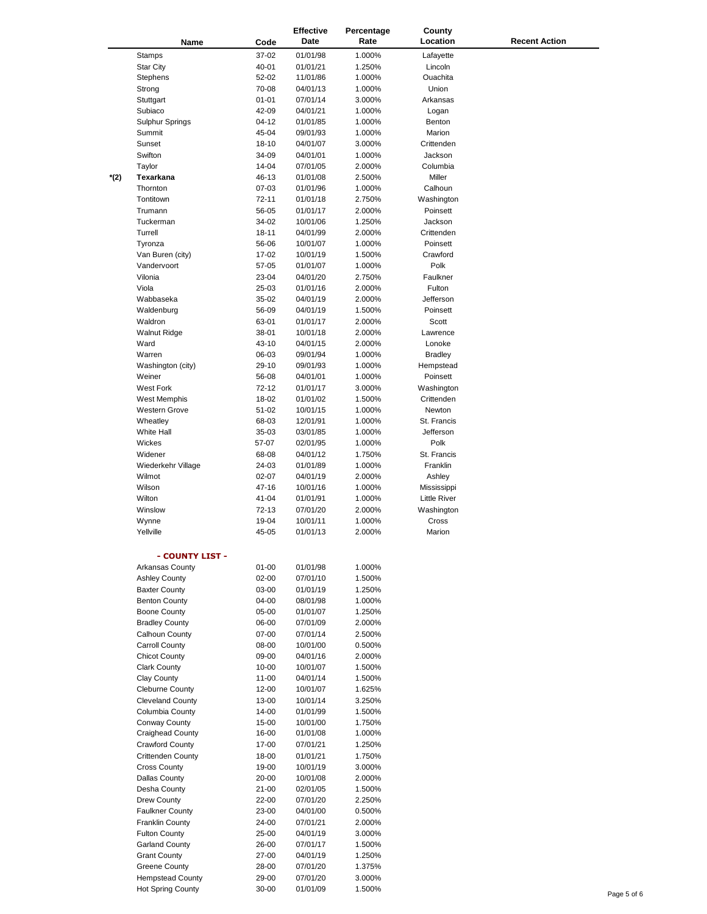|      |                          |           | <b>Effective</b> | Percentage | County              |                      |             |
|------|--------------------------|-----------|------------------|------------|---------------------|----------------------|-------------|
|      | Name                     | Code      | Date             | Rate       | Location            | <b>Recent Action</b> |             |
|      | Stamps                   | 37-02     | 01/01/98         | 1.000%     | Lafayette           |                      |             |
|      | <b>Star City</b>         | 40-01     | 01/01/21         | 1.250%     | Lincoln             |                      |             |
|      | Stephens                 | 52-02     | 11/01/86         | 1.000%     | Ouachita            |                      |             |
|      | Strong                   | 70-08     | 04/01/13         | 1.000%     | Union               |                      |             |
|      |                          |           |                  |            |                     |                      |             |
|      | Stuttgart                | $01 - 01$ | 07/01/14         | 3.000%     | Arkansas            |                      |             |
|      | Subiaco                  | 42-09     | 04/01/21         | 1.000%     | Logan               |                      |             |
|      | <b>Sulphur Springs</b>   | $04 - 12$ | 01/01/85         | 1.000%     | Benton              |                      |             |
|      | Summit                   | 45-04     | 09/01/93         | 1.000%     | Marion              |                      |             |
|      | Sunset                   | $18 - 10$ | 04/01/07         | 3.000%     | Crittenden          |                      |             |
|      | Swifton                  | 34-09     | 04/01/01         | 1.000%     | Jackson             |                      |             |
|      | Taylor                   | 14-04     | 07/01/05         | 2.000%     | Columbia            |                      |             |
| *(2) | Texarkana                | 46-13     | 01/01/08         | 2.500%     | Miller              |                      |             |
|      | Thornton                 | 07-03     | 01/01/96         | 1.000%     | Calhoun             |                      |             |
|      | Tontitown                | $72 - 11$ | 01/01/18         | 2.750%     | Washington          |                      |             |
|      | Trumann                  | 56-05     | 01/01/17         | 2.000%     | Poinsett            |                      |             |
|      | Tuckerman                | 34-02     | 10/01/06         | 1.250%     | Jackson             |                      |             |
|      |                          |           |                  |            |                     |                      |             |
|      | Turrell                  | $18 - 11$ | 04/01/99         | 2.000%     | Crittenden          |                      |             |
|      | Tyronza                  | 56-06     | 10/01/07         | 1.000%     | Poinsett            |                      |             |
|      | Van Buren (city)         | 17-02     | 10/01/19         | 1.500%     | Crawford            |                      |             |
|      | Vandervoort              | 57-05     | 01/01/07         | 1.000%     | Polk                |                      |             |
|      | Vilonia                  | 23-04     | 04/01/20         | 2.750%     | Faulkner            |                      |             |
|      | Viola                    | 25-03     | 01/01/16         | 2.000%     | Fulton              |                      |             |
|      | Wabbaseka                | 35-02     | 04/01/19         | 2.000%     | Jefferson           |                      |             |
|      | Waldenburg               | 56-09     | 04/01/19         | 1.500%     | Poinsett            |                      |             |
|      | Waldron                  | 63-01     | 01/01/17         | 2.000%     | Scott               |                      |             |
|      | <b>Walnut Ridge</b>      | 38-01     | 10/01/18         | 2.000%     | Lawrence            |                      |             |
|      | Ward                     | 43-10     | 04/01/15         | 2.000%     | Lonoke              |                      |             |
|      | Warren                   | 06-03     | 09/01/94         | 1.000%     | <b>Bradley</b>      |                      |             |
|      |                          |           |                  |            |                     |                      |             |
|      | Washington (city)        | 29-10     | 09/01/93         | 1.000%     | Hempstead           |                      |             |
|      | Weiner                   | 56-08     | 04/01/01         | 1.000%     | Poinsett            |                      |             |
|      | <b>West Fork</b>         | $72 - 12$ | 01/01/17         | 3.000%     | Washington          |                      |             |
|      | West Memphis             | 18-02     | 01/01/02         | 1.500%     | Crittenden          |                      |             |
|      | <b>Western Grove</b>     | $51 - 02$ | 10/01/15         | 1.000%     | Newton              |                      |             |
|      | Wheatley                 | 68-03     | 12/01/91         | 1.000%     | St. Francis         |                      |             |
|      | <b>White Hall</b>        | 35-03     | 03/01/85         | 1.000%     | Jefferson           |                      |             |
|      | Wickes                   | 57-07     | 02/01/95         | 1.000%     | Polk                |                      |             |
|      | Widener                  | 68-08     | 04/01/12         | 1.750%     | St. Francis         |                      |             |
|      | Wiederkehr Village       | 24-03     | 01/01/89         | 1.000%     | Franklin            |                      |             |
|      | Wilmot                   | $02 - 07$ | 04/01/19         | 2.000%     | Ashley              |                      |             |
|      | Wilson                   | 47-16     | 10/01/16         | 1.000%     |                     |                      |             |
|      |                          |           |                  |            | Mississippi         |                      |             |
|      | Wilton                   | 41-04     | 01/01/91         | 1.000%     | <b>Little River</b> |                      |             |
|      | Winslow                  | 72-13     | 07/01/20         | 2.000%     | Washington          |                      |             |
|      | Wynne                    | 19-04     | 10/01/11         | 1.000%     | Cross               |                      |             |
|      | Yellville                | 45-05     | 01/01/13         | 2.000%     | Marion              |                      |             |
|      |                          |           |                  |            |                     |                      |             |
|      | - COUNTY LIST -          |           |                  |            |                     |                      |             |
|      | Arkansas County          | $01 - 00$ | 01/01/98         | 1.000%     |                     |                      |             |
|      | <b>Ashley County</b>     | 02-00     | 07/01/10         | 1.500%     |                     |                      |             |
|      |                          |           |                  |            |                     |                      |             |
|      | <b>Baxter County</b>     | 03-00     | 01/01/19         | 1.250%     |                     |                      |             |
|      | <b>Benton County</b>     | 04-00     | 08/01/98         | 1.000%     |                     |                      |             |
|      | <b>Boone County</b>      | 05-00     | 01/01/07         | 1.250%     |                     |                      |             |
|      | <b>Bradley County</b>    | 06-00     | 07/01/09         | 2.000%     |                     |                      |             |
|      | Calhoun County           | 07-00     | 07/01/14         | 2.500%     |                     |                      |             |
|      | Carroll County           | 08-00     | 10/01/00         | 0.500%     |                     |                      |             |
|      | <b>Chicot County</b>     | 09-00     | 04/01/16         | 2.000%     |                     |                      |             |
|      | <b>Clark County</b>      | $10 - 00$ | 10/01/07         | 1.500%     |                     |                      |             |
|      | Clay County              | $11 - 00$ | 04/01/14         | 1.500%     |                     |                      |             |
|      | <b>Cleburne County</b>   | 12-00     | 10/01/07         | 1.625%     |                     |                      |             |
|      | <b>Cleveland County</b>  | 13-00     | 10/01/14         | 3.250%     |                     |                      |             |
|      | Columbia County          | 14-00     | 01/01/99         | 1.500%     |                     |                      |             |
|      | Conway County            | 15-00     | 10/01/00         | 1.750%     |                     |                      |             |
|      | <b>Craighead County</b>  | 16-00     | 01/01/08         | 1.000%     |                     |                      |             |
|      |                          |           |                  |            |                     |                      |             |
|      | <b>Crawford County</b>   | 17-00     | 07/01/21         | 1.250%     |                     |                      |             |
|      | <b>Crittenden County</b> | 18-00     | 01/01/21         | 1.750%     |                     |                      |             |
|      | <b>Cross County</b>      | 19-00     | 10/01/19         | 3.000%     |                     |                      |             |
|      | <b>Dallas County</b>     | 20-00     | 10/01/08         | 2.000%     |                     |                      |             |
|      | Desha County             | 21-00     | 02/01/05         | 1.500%     |                     |                      |             |
|      | Drew County              | 22-00     | 07/01/20         | 2.250%     |                     |                      |             |
|      | <b>Faulkner County</b>   | 23-00     | 04/01/00         | 0.500%     |                     |                      |             |
|      | <b>Franklin County</b>   | 24-00     | 07/01/21         | 2.000%     |                     |                      |             |
|      | <b>Fulton County</b>     | 25-00     | 04/01/19         | 3.000%     |                     |                      |             |
|      |                          |           |                  |            |                     |                      |             |
|      | <b>Garland County</b>    | 26-00     | 07/01/17         | 1.500%     |                     |                      |             |
|      | <b>Grant County</b>      | 27-00     | 04/01/19         | 1.250%     |                     |                      |             |
|      | <b>Greene County</b>     | 28-00     | 07/01/20         | 1.375%     |                     |                      |             |
|      | <b>Hempstead County</b>  | 29-00     | 07/01/20         | 3.000%     |                     |                      |             |
|      | Hot Spring County        | 30-00     | 01/01/09         | 1.500%     |                     |                      | Page 5 of 6 |
|      |                          |           |                  |            |                     |                      |             |